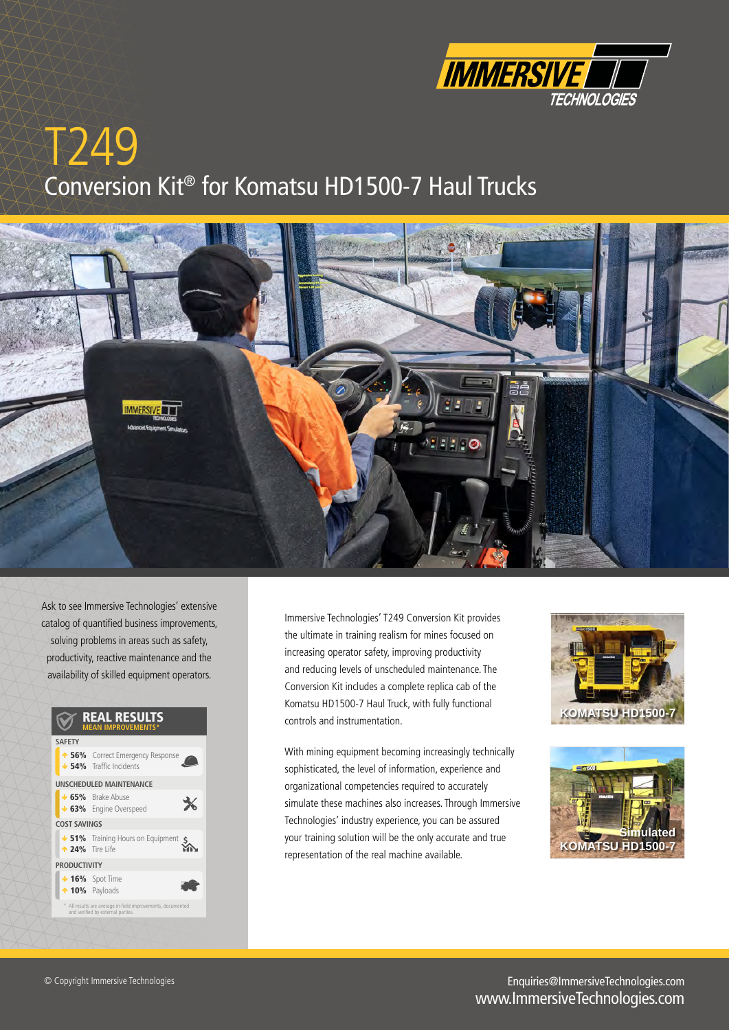

# T<sub>249</sub> Conversion Kit® for Komatsu HD1500-7 Haul Trucks



Ask to see Immersive Technologies' extensive catalog of quantified business improvements, solving problems in areas such as safety, productivity, reactive maintenance and the availability of skilled equipment operators.

#### **REAL RESULTS SAFETY 1 56%** Correct Emergency Response Incidents UNSCHEDULED MAINTENANCE  $\cdot$  65% Brake Abuse  $\frac{1}{\sqrt{2}}$ **63%** Engine Overspeed **COST SAVINGS Extract on Hours Assembly 51%** Training Hours on Equipment  $\zeta$  $\triangle$  24% Tire Life **PRODUCTIVITY**  $\cdot$  16% Spot Time  $\triangle$  10% Payloads \* All results are average in-field improvements, documented<br>and verified by external parties.

Immersive Technologies' T249 Conversion Kit provides the ultimate in training realism for mines focused on increasing operator safety, improving productivity and reducing levels of unscheduled maintenance. The Conversion Kit includes a complete replica cab of the Komatsu HD1500-7 Haul Truck, with fully functional controls and instrumentation.

With mining equipment becoming increasingly technically sophisticated, the level of information, experience and organizational competencies required to accurately simulate these machines also increases. Through Immersive Technologies' industry experience, you can be assured your training solution will be the only accurate and true representation of the real machine available.